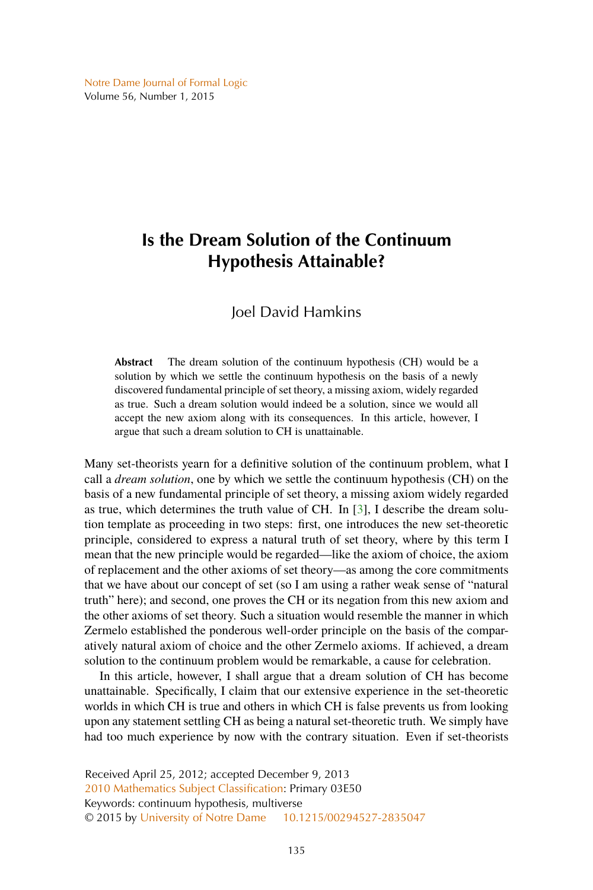<span id="page-0-0"></span>[Notre Dame Journal of Formal Logic](http://www.nd.edu/~ndjfl/) Volume 56, Number 1, 2015

# **Is the Dream Solution of the Continuum Hypothesis Attainable?**

# Joel David Hamkins

**Abstract** The dream solution of the continuum hypothesis (CH) would be a solution by which we settle the continuum hypothesis on the basis of a newly discovered fundamental principle of set theory, a missing axiom, widely regarded as true. Such a dream solution would indeed be a solution, since we would all accept the new axiom along with its consequences. In this article, however, I argue that such a dream solution to CH is unattainable.

Many set-theorists yearn for a definitive solution of the continuum problem, what I call a *dream solution*, one by which we settle the continuum hypothesis (CH) on the basis of a new fundamental principle of set theory, a missing axiom widely regarded as true, which determines the truth value of CH. In [\[3\]](#page-9-0), I describe the dream solution template as proceeding in two steps: first, one introduces the new set-theoretic principle, considered to express a natural truth of set theory, where by this term I mean that the new principle would be regarded—like the axiom of choice, the axiom of replacement and the other axioms of set theory—as among the core commitments that we have about our concept of set (so I am using a rather weak sense of "natural truth" here); and second, one proves the CH or its negation from this new axiom and the other axioms of set theory. Such a situation would resemble the manner in which Zermelo established the ponderous well-order principle on the basis of the comparatively natural axiom of choice and the other Zermelo axioms. If achieved, a dream solution to the continuum problem would be remarkable, a cause for celebration.

In this article, however, I shall argue that a dream solution of CH has become unattainable. Specifically, I claim that our extensive experience in the set-theoretic worlds in which CH is true and others in which CH is false prevents us from looking upon any statement settling CH as being a natural set-theoretic truth. We simply have had too much experience by now with the contrary situation. Even if set-theorists

Received April 25, 2012; accepted December 9, 2013 [2010 Mathematics Subject Classification:](http://www.ams.org/mathscinet/msc/msc2010.html) Primary 03E50 Keywords: continuum hypothesis, multiverse © 2015 by [University of Notre Dame](http://www.nd.edu) [10.1215/00294527-2835047](http://dx.doi.org/10.1215/00294527-2835047)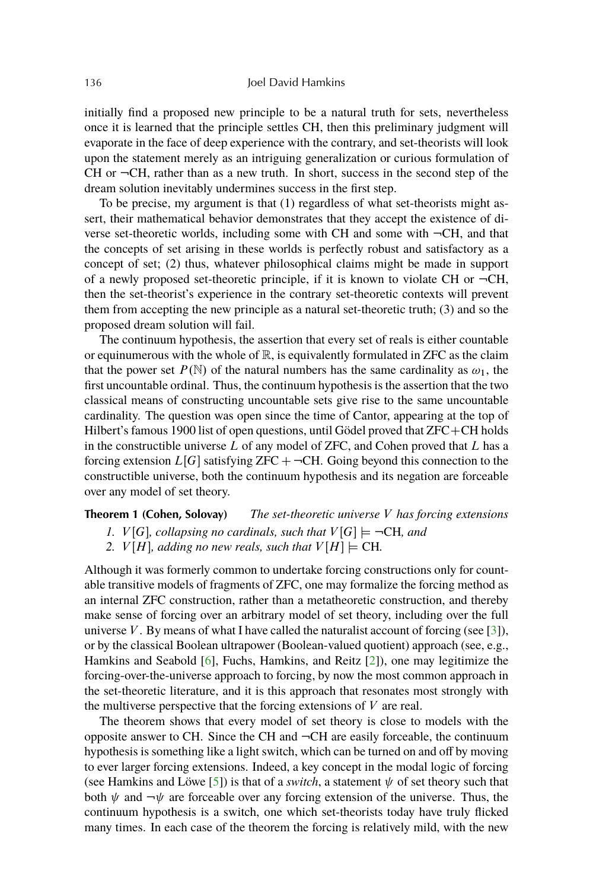<span id="page-1-0"></span>initially find a proposed new principle to be a natural truth for sets, nevertheless once it is learned that the principle settles CH, then this preliminary judgment will evaporate in the face of deep experience with the contrary, and set-theorists will look upon the statement merely as an intriguing generalization or curious formulation of CH or  $\neg$ CH, rather than as a new truth. In short, success in the second step of the dream solution inevitably undermines success in the first step.

To be precise, my argument is that (1) regardless of what set-theorists might assert, their mathematical behavior demonstrates that they accept the existence of diverse set-theoretic worlds, including some with CH and some with  $\neg$ CH, and that the concepts of set arising in these worlds is perfectly robust and satisfactory as a concept of set; (2) thus, whatever philosophical claims might be made in support of a newly proposed set-theoretic principle, if it is known to violate CH or  $\neg$ CH, then the set-theorist's experience in the contrary set-theoretic contexts will prevent them from accepting the new principle as a natural set-theoretic truth; (3) and so the proposed dream solution will fail.

The continuum hypothesis, the assertion that every set of reals is either countable or equinumerous with the whole of  $\mathbb{R}$ , is equivalently formulated in ZFC as the claim that the power set  $P(N)$  of the natural numbers has the same cardinality as  $\omega_1$ , the first uncountable ordinal. Thus, the continuum hypothesis is the assertion that the two classical means of constructing uncountable sets give rise to the same uncountable cardinality. The question was open since the time of Cantor, appearing at the top of Hilbert's famous 1900 list of open questions, until Gödel proved that  $ZFC + CH$  holds in the constructible universe  $L$  of any model of ZFC, and Cohen proved that  $L$  has a forcing extension  $L[G]$  satisfying ZFC +  $\neg$ CH. Going beyond this connection to the constructible universe, both the continuum hypothesis and its negation are forceable over any model of set theory.

## **Theorem 1 (Cohen, Solovay)** *The set-theoretic universe* V *has forcing extensions*

- *1.*  $V[G]$ , collapsing no cardinals, such that  $V[G] \models \neg CH$ , and
- *2.*  $V[H]$ , adding no new reals, such that  $V[H] \models CH$ .

Although it was formerly common to undertake forcing constructions only for countable transitive models of fragments of ZFC, one may formalize the forcing method as an internal ZFC construction, rather than a metatheoretic construction, and thereby make sense of forcing over an arbitrary model of set theory, including over the full universe V. By means of what I have called the naturalist account of forcing (see [\[3\]](#page-9-0)), or by the classical Boolean ultrapower (Boolean-valued quotient) approach (see, e.g., Hamkins and Seabold [\[6\]](#page-9-0), Fuchs, Hamkins, and Reitz [\[2\]](#page-9-0)), one may legitimize the forcing-over-the-universe approach to forcing, by now the most common approach in the set-theoretic literature, and it is this approach that resonates most strongly with the multiverse perspective that the forcing extensions of  $V$  are real.

The theorem shows that every model of set theory is close to models with the opposite answer to CH. Since the CH and  $\neg$ CH are easily forceable, the continuum hypothesis is something like a light switch, which can be turned on and off by moving to ever larger forcing extensions. Indeed, a key concept in the modal logic of forcing (see Hamkins and Löwe [\[5\]](#page-9-0)) is that of a *switch*, a statement  $\psi$  of set theory such that both  $\psi$  and  $\neg \psi$  are forceable over any forcing extension of the universe. Thus, the continuum hypothesis is a switch, one which set-theorists today have truly flicked many times. In each case of the theorem the forcing is relatively mild, with the new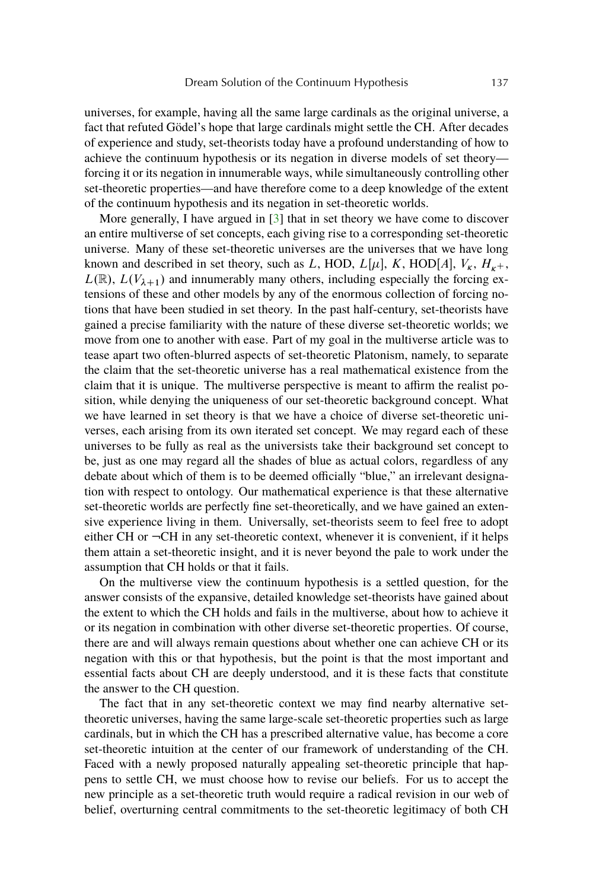<span id="page-2-0"></span>universes, for example, having all the same large cardinals as the original universe, a fact that refuted Gödel's hope that large cardinals might settle the CH. After decades of experience and study, set-theorists today have a profound understanding of how to achieve the continuum hypothesis or its negation in diverse models of set theory forcing it or its negation in innumerable ways, while simultaneously controlling other set-theoretic properties—and have therefore come to a deep knowledge of the extent of the continuum hypothesis and its negation in set-theoretic worlds.

More generally, I have argued in [\[3\]](#page-9-0) that in set theory we have come to discover an entire multiverse of set concepts, each giving rise to a corresponding set-theoretic universe. Many of these set-theoretic universes are the universes that we have long known and described in set theory, such as L, HOD,  $L[\mu]$ , K, HOD[A],  $V_{\kappa}$ ,  $H_{\kappa+}$ ,  $L(\mathbb{R})$ ,  $L(V_{\lambda+1})$  and innumerably many others, including especially the forcing extensions of these and other models by any of the enormous collection of forcing notions that have been studied in set theory. In the past half-century, set-theorists have gained a precise familiarity with the nature of these diverse set-theoretic worlds; we move from one to another with ease. Part of my goal in the multiverse article was to tease apart two often-blurred aspects of set-theoretic Platonism, namely, to separate the claim that the set-theoretic universe has a real mathematical existence from the claim that it is unique. The multiverse perspective is meant to affirm the realist position, while denying the uniqueness of our set-theoretic background concept. What we have learned in set theory is that we have a choice of diverse set-theoretic universes, each arising from its own iterated set concept. We may regard each of these universes to be fully as real as the universists take their background set concept to be, just as one may regard all the shades of blue as actual colors, regardless of any debate about which of them is to be deemed officially "blue," an irrelevant designation with respect to ontology. Our mathematical experience is that these alternative set-theoretic worlds are perfectly fine set-theoretically, and we have gained an extensive experience living in them. Universally, set-theorists seem to feel free to adopt either CH or  $\neg$ CH in any set-theoretic context, whenever it is convenient, if it helps them attain a set-theoretic insight, and it is never beyond the pale to work under the assumption that CH holds or that it fails.

On the multiverse view the continuum hypothesis is a settled question, for the answer consists of the expansive, detailed knowledge set-theorists have gained about the extent to which the CH holds and fails in the multiverse, about how to achieve it or its negation in combination with other diverse set-theoretic properties. Of course, there are and will always remain questions about whether one can achieve CH or its negation with this or that hypothesis, but the point is that the most important and essential facts about CH are deeply understood, and it is these facts that constitute the answer to the CH question.

The fact that in any set-theoretic context we may find nearby alternative settheoretic universes, having the same large-scale set-theoretic properties such as large cardinals, but in which the CH has a prescribed alternative value, has become a core set-theoretic intuition at the center of our framework of understanding of the CH. Faced with a newly proposed naturally appealing set-theoretic principle that happens to settle CH, we must choose how to revise our beliefs. For us to accept the new principle as a set-theoretic truth would require a radical revision in our web of belief, overturning central commitments to the set-theoretic legitimacy of both CH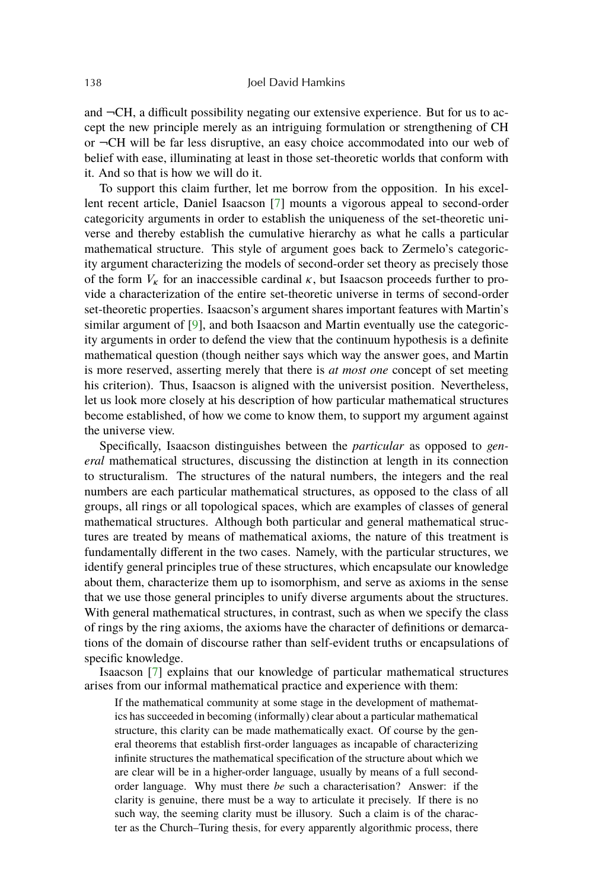<span id="page-3-0"></span>and  $\neg$ CH, a difficult possibility negating our extensive experience. But for us to accept the new principle merely as an intriguing formulation or strengthening of CH or  $\neg$ CH will be far less disruptive, an easy choice accommodated into our web of belief with ease, illuminating at least in those set-theoretic worlds that conform with it. And so that is how we will do it.

To support this claim further, let me borrow from the opposition. In his excellent recent article, Daniel Isaacson [\[7\]](#page-9-0) mounts a vigorous appeal to second-order categoricity arguments in order to establish the uniqueness of the set-theoretic universe and thereby establish the cumulative hierarchy as what he calls a particular mathematical structure. This style of argument goes back to Zermelo's categoricity argument characterizing the models of second-order set theory as precisely those of the form  $V_k$  for an inaccessible cardinal  $\kappa$ , but Isaacson proceeds further to provide a characterization of the entire set-theoretic universe in terms of second-order set-theoretic properties. Isaacson's argument shares important features with Martin's similar argument of  $[9]$ , and both Isaacson and Martin eventually use the categoricity arguments in order to defend the view that the continuum hypothesis is a definite mathematical question (though neither says which way the answer goes, and Martin is more reserved, asserting merely that there is *at most one* concept of set meeting his criterion). Thus, Isaacson is aligned with the universist position. Nevertheless, let us look more closely at his description of how particular mathematical structures become established, of how we come to know them, to support my argument against the universe view.

Specifically, Isaacson distinguishes between the *particular* as opposed to *general* mathematical structures, discussing the distinction at length in its connection to structuralism. The structures of the natural numbers, the integers and the real numbers are each particular mathematical structures, as opposed to the class of all groups, all rings or all topological spaces, which are examples of classes of general mathematical structures. Although both particular and general mathematical structures are treated by means of mathematical axioms, the nature of this treatment is fundamentally different in the two cases. Namely, with the particular structures, we identify general principles true of these structures, which encapsulate our knowledge about them, characterize them up to isomorphism, and serve as axioms in the sense that we use those general principles to unify diverse arguments about the structures. With general mathematical structures, in contrast, such as when we specify the class of rings by the ring axioms, the axioms have the character of definitions or demarcations of the domain of discourse rather than self-evident truths or encapsulations of specific knowledge.

Isaacson [\[7\]](#page-9-0) explains that our knowledge of particular mathematical structures arises from our informal mathematical practice and experience with them:

If the mathematical community at some stage in the development of mathematics has succeeded in becoming (informally) clear about a particular mathematical structure, this clarity can be made mathematically exact. Of course by the general theorems that establish first-order languages as incapable of characterizing infinite structures the mathematical specification of the structure about which we are clear will be in a higher-order language, usually by means of a full secondorder language. Why must there *be* such a characterisation? Answer: if the clarity is genuine, there must be a way to articulate it precisely. If there is no such way, the seeming clarity must be illusory. Such a claim is of the character as the Church–Turing thesis, for every apparently algorithmic process, there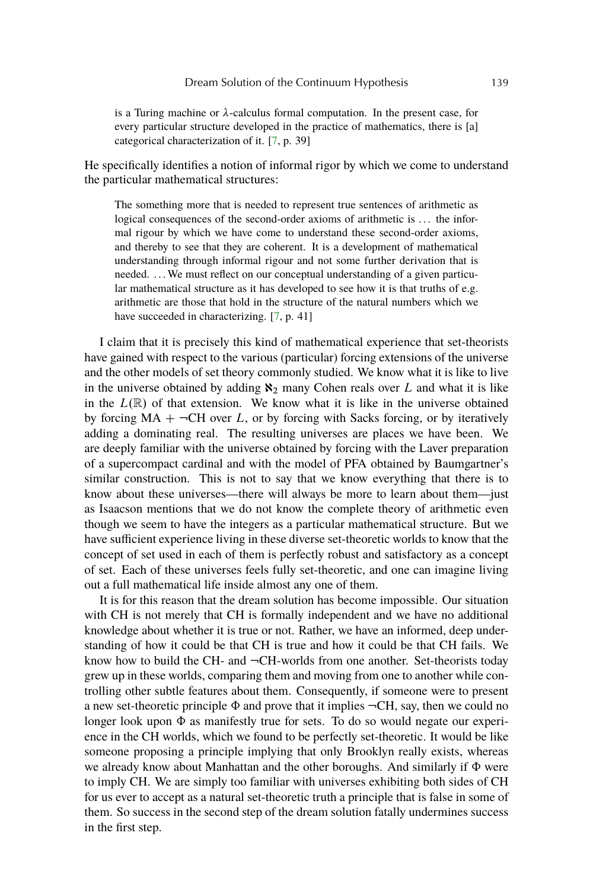<span id="page-4-0"></span>is a Turing machine or  $\lambda$ -calculus formal computation. In the present case, for every particular structure developed in the practice of mathematics, there is [a] categorical characterization of it. [\[7,](#page-9-0) p. 39]

He specifically identifies a notion of informal rigor by which we come to understand the particular mathematical structures:

The something more that is needed to represent true sentences of arithmetic as logical consequences of the second-order axioms of arithmetic is ... the informal rigour by which we have come to understand these second-order axioms, and thereby to see that they are coherent. It is a development of mathematical understanding through informal rigour and not some further derivation that is needed. . . .We must reflect on our conceptual understanding of a given particular mathematical structure as it has developed to see how it is that truths of e.g. arithmetic are those that hold in the structure of the natural numbers which we have succeeded in characterizing. [\[7,](#page-9-0) p. 41]

I claim that it is precisely this kind of mathematical experience that set-theorists have gained with respect to the various (particular) forcing extensions of the universe and the other models of set theory commonly studied. We know what it is like to live in the universe obtained by adding  $\aleph_2$  many Cohen reals over L and what it is like in the  $L(\mathbb{R})$  of that extension. We know what it is like in the universe obtained by forcing  $MA + \neg CH$  over L, or by forcing with Sacks forcing, or by iteratively adding a dominating real. The resulting universes are places we have been. We are deeply familiar with the universe obtained by forcing with the Laver preparation of a supercompact cardinal and with the model of PFA obtained by Baumgartner's similar construction. This is not to say that we know everything that there is to know about these universes—there will always be more to learn about them—just as Isaacson mentions that we do not know the complete theory of arithmetic even though we seem to have the integers as a particular mathematical structure. But we have sufficient experience living in these diverse set-theoretic worlds to know that the concept of set used in each of them is perfectly robust and satisfactory as a concept of set. Each of these universes feels fully set-theoretic, and one can imagine living out a full mathematical life inside almost any one of them.

It is for this reason that the dream solution has become impossible. Our situation with CH is not merely that CH is formally independent and we have no additional knowledge about whether it is true or not. Rather, we have an informed, deep understanding of how it could be that CH is true and how it could be that CH fails. We know how to build the CH- and  $\neg$ CH-worlds from one another. Set-theorists today grew up in these worlds, comparing them and moving from one to another while controlling other subtle features about them. Consequently, if someone were to present a new set-theoretic principle  $\Phi$  and prove that it implies  $\neg CH$ , say, then we could no longer look upon  $\Phi$  as manifestly true for sets. To do so would negate our experience in the CH worlds, which we found to be perfectly set-theoretic. It would be like someone proposing a principle implying that only Brooklyn really exists, whereas we already know about Manhattan and the other boroughs. And similarly if  $\Phi$  were to imply CH. We are simply too familiar with universes exhibiting both sides of CH for us ever to accept as a natural set-theoretic truth a principle that is false in some of them. So success in the second step of the dream solution fatally undermines success in the first step.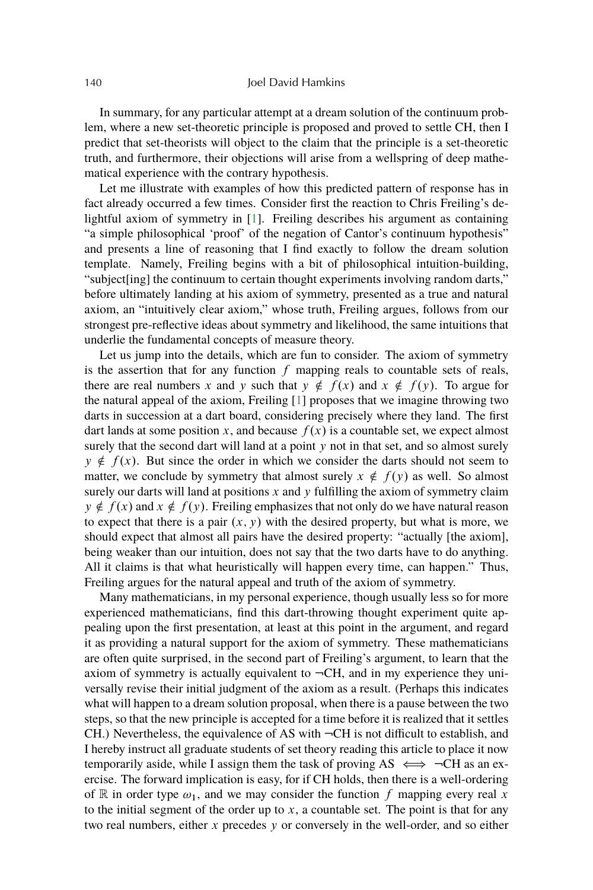<span id="page-5-0"></span>In summary, for any particular attempt at a dream solution of the continuum problem, where a new set-theoretic principle is proposed and proved to settle CH, then I predict that set-theorists will object to the claim that the principle is a set-theoretic truth, and furthermore, their objections will arise from a wellspring of deep mathematical experience with the contrary hypothesis.

Let me illustrate with examples of how this predicted pattern of response has in fact already occurred a few times. Consider first the reaction to Chris Freiling's delightful axiom of symmetry in [\[1\]](#page-9-0). Freiling describes his argument as containing "a simple philosophical 'proof' of the negation of Cantor's continuum hypothesis" and presents a line of reasoning that I find exactly to follow the dream solution template. Namely, Freiling begins with a bit of philosophical intuition-building, "subject[ing] the continuum to certain thought experiments involving random darts," before ultimately landing at his axiom of symmetry, presented as a true and natural axiom, an "intuitively clear axiom," whose truth, Freiling argues, follows from our strongest pre-reflective ideas about symmetry and likelihood, the same intuitions that underlie the fundamental concepts of measure theory.

Let us jump into the details, which are fun to consider. The axiom of symmetry is the assertion that for any function  $f$  mapping reals to countable sets of reals, there are real numbers x and y such that  $y \notin f(x)$  and  $x \notin f(y)$ . To argue for the natural appeal of the axiom, Freiling [\[1\]](#page-9-0) proposes that we imagine throwing two darts in succession at a dart board, considering precisely where they land. The first dart lands at some position x, and because  $f(x)$  is a countable set, we expect almost surely that the second dart will land at a point  $y$  not in that set, and so almost surely  $y \notin f(x)$ . But since the order in which we consider the darts should not seem to matter, we conclude by symmetry that almost surely  $x \notin f(y)$  as well. So almost surely our darts will land at positions  $x$  and  $y$  fulfilling the axiom of symmetry claim  $y \notin f(x)$  and  $x \notin f(y)$ . Freiling emphasizes that not only do we have natural reason to expect that there is a pair  $(x, y)$  with the desired property, but what is more, we should expect that almost all pairs have the desired property: "actually [the axiom], being weaker than our intuition, does not say that the two darts have to do anything. All it claims is that what heuristically will happen every time, can happen." Thus, Freiling argues for the natural appeal and truth of the axiom of symmetry.

Many mathematicians, in my personal experience, though usually less so for more experienced mathematicians, find this dart-throwing thought experiment quite appealing upon the first presentation, at least at this point in the argument, and regard it as providing a natural support for the axiom of symmetry. These mathematicians are often quite surprised, in the second part of Freiling's argument, to learn that the axiom of symmetry is actually equivalent to  $\neg$ CH, and in my experience they universally revise their initial judgment of the axiom as a result. (Perhaps this indicates what will happen to a dream solution proposal, when there is a pause between the two steps, so that the new principle is accepted for a time before it is realized that it settles CH.) Nevertheless, the equivalence of AS with  $\neg$ CH is not difficult to establish, and I hereby instruct all graduate students of set theory reading this article to place it now temporarily aside, while I assign them the task of proving AS  $\iff \neg CH$  as an exercise. The forward implication is easy, for if CH holds, then there is a well-ordering of R in order type  $\omega_1$ , and we may consider the function f mapping every real x to the initial segment of the order up to  $x$ , a countable set. The point is that for any two real numbers, either  $x$  precedes  $y$  or conversely in the well-order, and so either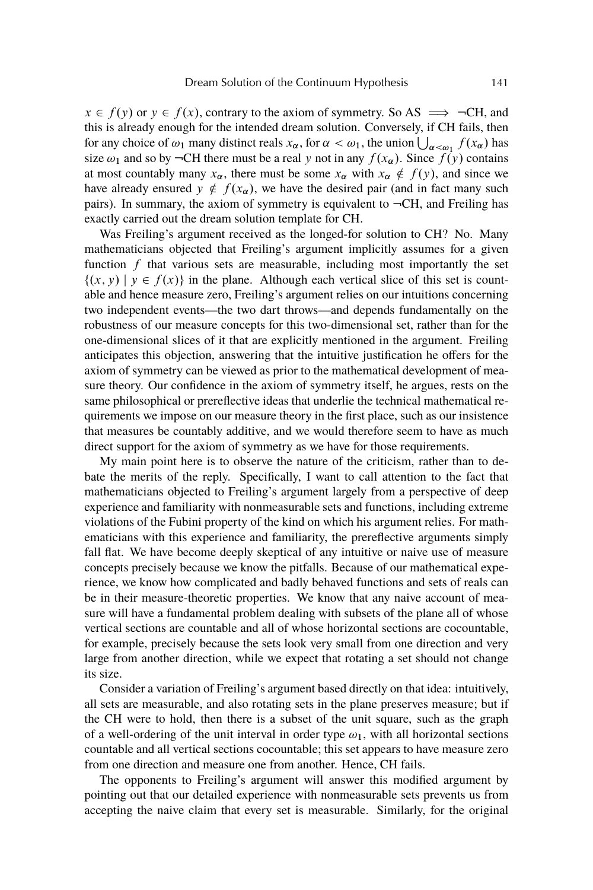$x \in f(y)$  or  $y \in f(x)$ , contrary to the axiom of symmetry. So AS  $\implies \neg CH$ , and this is already enough for the intended dream solution. Conversely, if CH fails, then for any choice of  $\omega_1$  many distinct reals  $x_\alpha$ , for  $\alpha < \omega_1$ , the union  $\bigcup_{\alpha < \omega_1} f(x_\alpha)$  has size  $\omega_1$  and so by  $\neg$ CH there must be a real y not in any  $f(x_\alpha)$ . Since  $f(y)$  contains at most countably many  $x_\alpha$ , there must be some  $x_\alpha$  with  $x_\alpha \notin f(y)$ , and since we have already ensured  $y \notin f(x_\alpha)$ , we have the desired pair (and in fact many such pairs). In summary, the axiom of symmetry is equivalent to  $\neg CH$ , and Freiling has exactly carried out the dream solution template for CH.

Was Freiling's argument received as the longed-for solution to CH? No. Many mathematicians objected that Freiling's argument implicitly assumes for a given function  $f$  that various sets are measurable, including most importantly the set  $\{(x, y) | y \in f(x)\}\$ in the plane. Although each vertical slice of this set is countable and hence measure zero, Freiling's argument relies on our intuitions concerning two independent events—the two dart throws—and depends fundamentally on the robustness of our measure concepts for this two-dimensional set, rather than for the one-dimensional slices of it that are explicitly mentioned in the argument. Freiling anticipates this objection, answering that the intuitive justification he offers for the axiom of symmetry can be viewed as prior to the mathematical development of measure theory. Our confidence in the axiom of symmetry itself, he argues, rests on the same philosophical or prereflective ideas that underlie the technical mathematical requirements we impose on our measure theory in the first place, such as our insistence that measures be countably additive, and we would therefore seem to have as much direct support for the axiom of symmetry as we have for those requirements.

My main point here is to observe the nature of the criticism, rather than to debate the merits of the reply. Specifically, I want to call attention to the fact that mathematicians objected to Freiling's argument largely from a perspective of deep experience and familiarity with nonmeasurable sets and functions, including extreme violations of the Fubini property of the kind on which his argument relies. For mathematicians with this experience and familiarity, the prereflective arguments simply fall flat. We have become deeply skeptical of any intuitive or naive use of measure concepts precisely because we know the pitfalls. Because of our mathematical experience, we know how complicated and badly behaved functions and sets of reals can be in their measure-theoretic properties. We know that any naive account of measure will have a fundamental problem dealing with subsets of the plane all of whose vertical sections are countable and all of whose horizontal sections are cocountable, for example, precisely because the sets look very small from one direction and very large from another direction, while we expect that rotating a set should not change its size.

Consider a variation of Freiling's argument based directly on that idea: intuitively, all sets are measurable, and also rotating sets in the plane preserves measure; but if the CH were to hold, then there is a subset of the unit square, such as the graph of a well-ordering of the unit interval in order type  $\omega_1$ , with all horizontal sections countable and all vertical sections cocountable; this set appears to have measure zero from one direction and measure one from another. Hence, CH fails.

The opponents to Freiling's argument will answer this modified argument by pointing out that our detailed experience with nonmeasurable sets prevents us from accepting the naive claim that every set is measurable. Similarly, for the original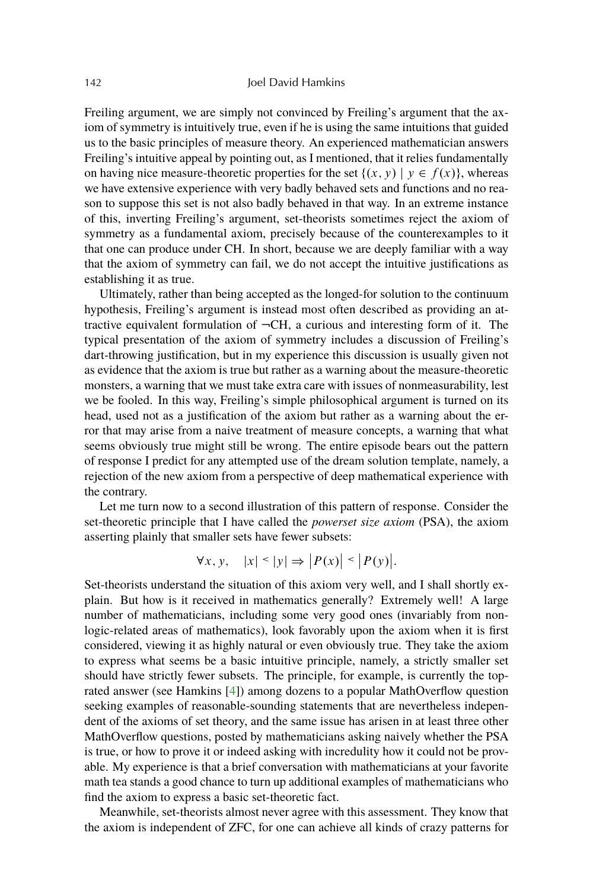<span id="page-7-0"></span>Freiling argument, we are simply not convinced by Freiling's argument that the axiom of symmetry is intuitively true, even if he is using the same intuitions that guided us to the basic principles of measure theory. An experienced mathematician answers Freiling's intuitive appeal by pointing out, as I mentioned, that it relies fundamentally on having nice measure-theoretic properties for the set  $\{(x, y) | y \in f(x)\}$ , whereas we have extensive experience with very badly behaved sets and functions and no reason to suppose this set is not also badly behaved in that way. In an extreme instance of this, inverting Freiling's argument, set-theorists sometimes reject the axiom of symmetry as a fundamental axiom, precisely because of the counterexamples to it that one can produce under CH. In short, because we are deeply familiar with a way that the axiom of symmetry can fail, we do not accept the intuitive justifications as establishing it as true.

Ultimately, rather than being accepted as the longed-for solution to the continuum hypothesis, Freiling's argument is instead most often described as providing an attractive equivalent formulation of  $\neg$ CH, a curious and interesting form of it. The typical presentation of the axiom of symmetry includes a discussion of Freiling's dart-throwing justification, but in my experience this discussion is usually given not as evidence that the axiom is true but rather as a warning about the measure-theoretic monsters, a warning that we must take extra care with issues of nonmeasurability, lest we be fooled. In this way, Freiling's simple philosophical argument is turned on its head, used not as a justification of the axiom but rather as a warning about the error that may arise from a naive treatment of measure concepts, a warning that what seems obviously true might still be wrong. The entire episode bears out the pattern of response I predict for any attempted use of the dream solution template, namely, a rejection of the new axiom from a perspective of deep mathematical experience with the contrary.

Let me turn now to a second illustration of this pattern of response. Consider the set-theoretic principle that I have called the *powerset size axiom* (PSA), the axiom asserting plainly that smaller sets have fewer subsets:

$$
\forall x, y, \quad |x| \le |y| \Rightarrow |P(x)| \le |P(y)|.
$$

Set-theorists understand the situation of this axiom very well, and I shall shortly explain. But how is it received in mathematics generally? Extremely well! A large number of mathematicians, including some very good ones (invariably from nonlogic-related areas of mathematics), look favorably upon the axiom when it is first considered, viewing it as highly natural or even obviously true. They take the axiom to express what seems be a basic intuitive principle, namely, a strictly smaller set should have strictly fewer subsets. The principle, for example, is currently the toprated answer (see Hamkins [\[4\]](#page-9-0)) among dozens to a popular MathOverflow question seeking examples of reasonable-sounding statements that are nevertheless independent of the axioms of set theory, and the same issue has arisen in at least three other MathOverflow questions, posted by mathematicians asking naively whether the PSA is true, or how to prove it or indeed asking with incredulity how it could not be provable. My experience is that a brief conversation with mathematicians at your favorite math tea stands a good chance to turn up additional examples of mathematicians who find the axiom to express a basic set-theoretic fact.

Meanwhile, set-theorists almost never agree with this assessment. They know that the axiom is independent of ZFC, for one can achieve all kinds of crazy patterns for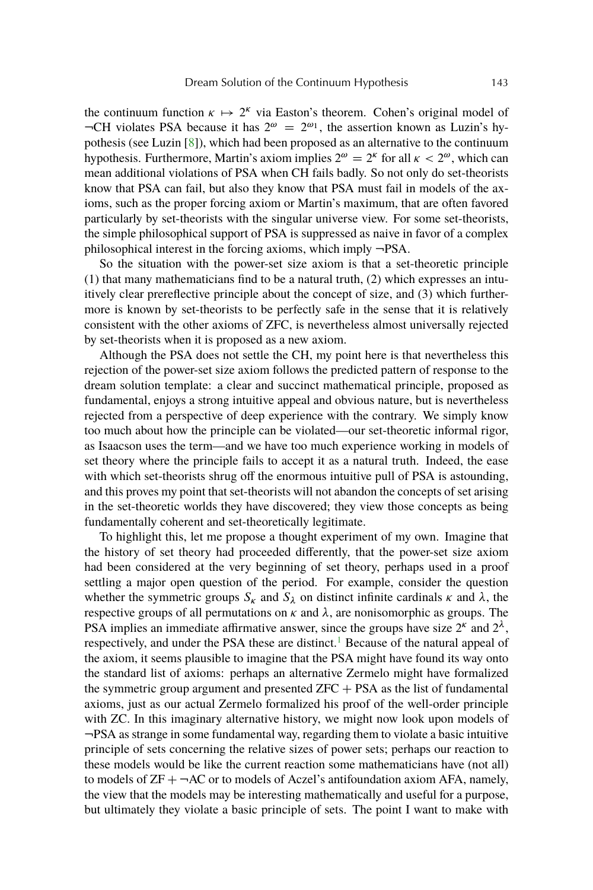<span id="page-8-0"></span>the continuum function  $\kappa \mapsto 2^{\kappa}$  via Easton's theorem. Cohen's original model of  $\neg$ CH violates PSA because it has  $2^{\omega} = 2^{\omega_1}$ , the assertion known as Luzin's hypothesis (see Luzin [\[8\]](#page-9-0)), which had been proposed as an alternative to the continuum hypothesis. Furthermore, Martin's axiom implies  $2^{\omega} = 2^{\kappa}$  for all  $\kappa < 2^{\omega}$ , which can mean additional violations of PSA when CH fails badly. So not only do set-theorists know that PSA can fail, but also they know that PSA must fail in models of the axioms, such as the proper forcing axiom or Martin's maximum, that are often favored particularly by set-theorists with the singular universe view. For some set-theorists, the simple philosophical support of PSA is suppressed as naive in favor of a complex philosophical interest in the forcing axioms, which imply  $\neg$ PSA.

So the situation with the power-set size axiom is that a set-theoretic principle (1) that many mathematicians find to be a natural truth, (2) which expresses an intuitively clear prereflective principle about the concept of size, and (3) which furthermore is known by set-theorists to be perfectly safe in the sense that it is relatively consistent with the other axioms of ZFC, is nevertheless almost universally rejected by set-theorists when it is proposed as a new axiom.

Although the PSA does not settle the CH, my point here is that nevertheless this rejection of the power-set size axiom follows the predicted pattern of response to the dream solution template: a clear and succinct mathematical principle, proposed as fundamental, enjoys a strong intuitive appeal and obvious nature, but is nevertheless rejected from a perspective of deep experience with the contrary. We simply know too much about how the principle can be violated—our set-theoretic informal rigor, as Isaacson uses the term—and we have too much experience working in models of set theory where the principle fails to accept it as a natural truth. Indeed, the ease with which set-theorists shrug off the enormous intuitive pull of PSA is astounding, and this proves my point that set-theorists will not abandon the concepts of set arising in the set-theoretic worlds they have discovered; they view those concepts as being fundamentally coherent and set-theoretically legitimate.

To highlight this, let me propose a thought experiment of my own. Imagine that the history of set theory had proceeded differently, that the power-set size axiom had been considered at the very beginning of set theory, perhaps used in a proof settling a major open question of the period. For example, consider the question whether the symmetric groups  $S_k$  and  $S_\lambda$  on distinct infinite cardinals  $\kappa$  and  $\lambda$ , the respective groups of all permutations on  $\kappa$  and  $\lambda$ , are nonisomorphic as groups. The PSA implies an immediate affirmative answer, since the groups have size  $2^k$  and  $2^{\lambda}$ , respectively, and under the PSA these are distinct.<sup>[1](#page-9-0)</sup> Because of the natural appeal of the axiom, it seems plausible to imagine that the PSA might have found its way onto the standard list of axioms: perhaps an alternative Zermelo might have formalized the symmetric group argument and presented  $ZFC + PSA$  as the list of fundamental axioms, just as our actual Zermelo formalized his proof of the well-order principle with ZC. In this imaginary alternative history, we might now look upon models of :PSA as strange in some fundamental way, regarding them to violate a basic intuitive principle of sets concerning the relative sizes of power sets; perhaps our reaction to these models would be like the current reaction some mathematicians have (not all) to models of  $ZF + \neg AC$  or to models of Aczel's antifoundation axiom AFA, namely, the view that the models may be interesting mathematically and useful for a purpose, but ultimately they violate a basic principle of sets. The point I want to make with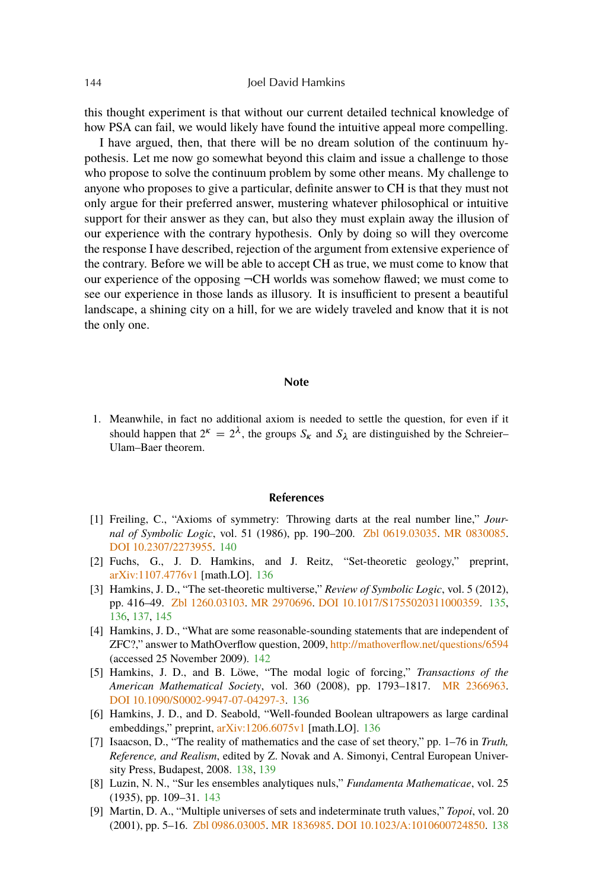<span id="page-9-0"></span>this thought experiment is that without our current detailed technical knowledge of how PSA can fail, we would likely have found the intuitive appeal more compelling.

I have argued, then, that there will be no dream solution of the continuum hypothesis. Let me now go somewhat beyond this claim and issue a challenge to those who propose to solve the continuum problem by some other means. My challenge to anyone who proposes to give a particular, definite answer to CH is that they must not only argue for their preferred answer, mustering whatever philosophical or intuitive support for their answer as they can, but also they must explain away the illusion of our experience with the contrary hypothesis. Only by doing so will they overcome the response I have described, rejection of the argument from extensive experience of the contrary. Before we will be able to accept CH as true, we must come to know that our experience of the opposing  $\neg$ CH worlds was somehow flawed; we must come to see our experience in those lands as illusory. It is insufficient to present a beautiful landscape, a shining city on a hill, for we are widely traveled and know that it is not the only one.

#### **Note**

1. Meanwhile, in fact no additional axiom is needed to settle the question, for even if it should happen that  $2^k = 2^{\lambda}$ , the groups  $S_k$  and  $S_{\lambda}$  are distinguished by the Schreier– Ulam–Baer theorem.

#### **References**

- [1] Freiling, C., "Axioms of symmetry: Throwing darts at the real number line," *Journal of Symbolic Logic*, vol. 51 (1986), pp. 190–200. [Zbl 0619.03035.](http://www.emis.de/cgi-bin/MATH-item?0619.03035) [MR 0830085.](http://www.ams.org/mathscinet-getitem?mr=0830085) [DOI 10.2307/2273955.](http://dx.doi.org/10.2307/2273955) [140](#page-5-0)
- [2] Fuchs, G., J. D. Hamkins, and J. Reitz, "Set-theoretic geology," preprint, [arXiv:1107.4776v1](http://arxiv.org/abs/arXiv:1107.4776v1) [math.LO]. [136](#page-1-0)
- [3] Hamkins, J. D., "The set-theoretic multiverse," *Review of Symbolic Logic*, vol. 5 (2012), pp. 416–49. [Zbl 1260.03103.](http://www.emis.de/cgi-bin/MATH-item?1260.03103) [MR 2970696.](http://www.ams.org/mathscinet-getitem?mr=2970696) [DOI 10.1017/S1755020311000359.](http://dx.doi.org/10.1017/S1755020311000359) [135,](#page-0-0) [136,](#page-1-0) [137,](#page-2-0) [145](#page-10-0)
- [4] Hamkins, J. D., "What are some reasonable-sounding statements that are independent of ZFC?," answer to MathOverflow question, 2009, <http://mathoverflow.net/questions/6594> (accessed 25 November 2009). [142](#page-7-0)
- [5] Hamkins, J. D., and B. Löwe, "The modal logic of forcing," *Transactions of the American Mathematical Society*, vol. 360 (2008), pp. 1793–1817. [MR 2366963.](http://www.ams.org/mathscinet-getitem?mr=2366963) [DOI 10.1090/S0002-9947-07-04297-3.](http://dx.doi.org/10.1090/S0002-9947-07-04297-3) [136](#page-1-0)
- [6] Hamkins, J. D., and D. Seabold, "Well-founded Boolean ultrapowers as large cardinal embeddings," preprint, [arXiv:1206.6075v1](http://arxiv.org/abs/arXiv:1206.6075v1) [math.LO]. [136](#page-1-0)
- [7] Isaacson, D., "The reality of mathematics and the case of set theory," pp. 1–76 in *Truth, Reference, and Realism*, edited by Z. Novak and A. Simonyi, Central European University Press, Budapest, 2008. [138,](#page-3-0) [139](#page-4-0)
- [8] Luzin, N. N., "Sur les ensembles analytiques nuls," *Fundamenta Mathematicae*, vol. 25 (1935), pp. 109–31. [143](#page-8-0)
- [9] Martin, D. A., "Multiple universes of sets and indeterminate truth values," *Topoi*, vol. 20 (2001), pp. 5–16. [Zbl 0986.03005.](http://www.emis.de/cgi-bin/MATH-item?0986.03005) [MR 1836985.](http://www.ams.org/mathscinet-getitem?mr=1836985) [DOI 10.1023/A:1010600724850.](http://dx.doi.org/10.1023/A:1010600724850) [138](#page-3-0)